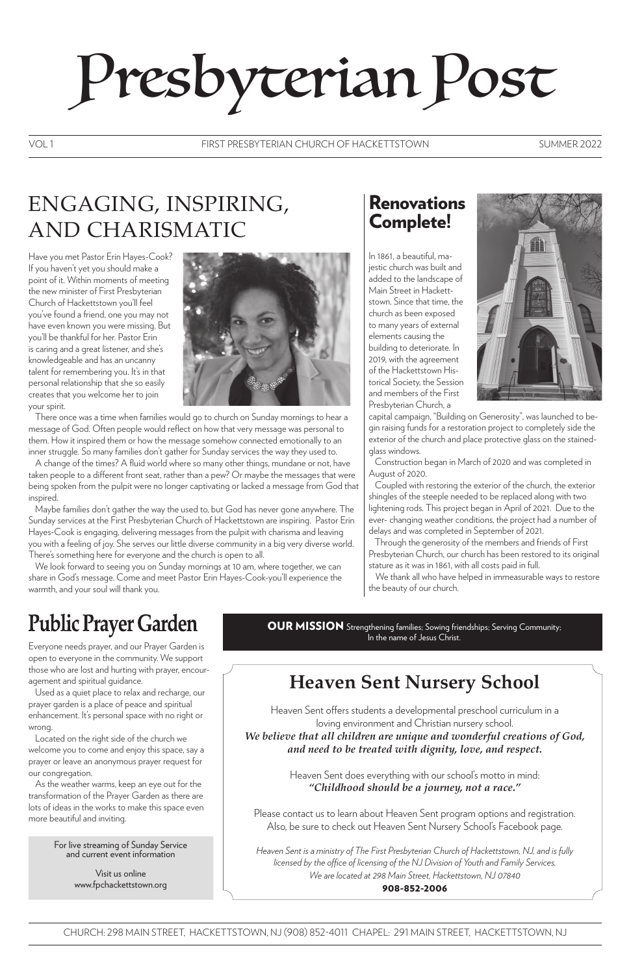# Presbyterian Post

# ENGAGING, INSPIRING, AND CHARISMATIC

Have you met Pastor Erin Hayes-Cook? If you haven't yet you should make a point of it. Within moments of meeting the new minister of First Presbyterian Church of Hackettstown you'll feel you've found a friend, one you may not have even known you were missing. But you'll be thankful for her. Pastor Erin is caring and a great listener, and she's knowledgeable and has an uncanny talent for remembering you. It's in that personal relationship that she so easily creates that you welcome her to join your spirit.



There once was a time when families would go to church on Sunday mornings to hear a message of God. Often people would reflect on how that very message was personal to them. How it inspired them or how the message somehow connected emotionally to an inner struggle. So many families don't gather for Sunday services the way they used to.

#### FIRST PRESBYTERIAN CHURCH OF HACKETTSTOWN VOL 1 SUMMER 2022

A change of the times? A fluid world where so many other things, mundane or not, have taken people to a different front seat, rather than a pew? Or maybe the messages that were being spoken from the pulpit were no longer captivating or lacked a message from God that inspired.

Maybe families don't gather the way the used to, but God has never gone anywhere. The Sunday services at the First Presbyterian Church of Hackettstown are inspiring. Pastor Erin Hayes-Cook is engaging, delivering messages from the pulpit with charisma and leaving you with a feeling of joy. She serves our little diverse community in a big very diverse world. There's something here for everyone and the church is open to all.

We look forward to seeing you on Sunday mornings at 10 am, where together, we can share in God's message. Come and meet Pastor Erin Hayes-Cook-you'll experience the warmth, and your soul will thank you.

In 1861, a beautiful, majestic church was built and added to the landscape of Main Street in Hackettstown. Since that time, the church as been exposed to many years of external elements causing the building to deteriorate. In 2019, with the agreement of the Hackettstown Historical Society, the Session and members of the First Presbyterian Church, a



capital campaign, "Building on Generosity", was launched to begin raising funds for a restoration project to completely side the exterior of the church and place protective glass on the stainedglass windows.

 Construction began in March of 2020 and was completed in August of 2020.

 Coupled with restoring the exterior of the church, the exterior shingles of the steeple needed to be replaced along with two lightening rods. This project began in April of 2021. Due to the ever- changing weather conditions, the project had a number of delays and was completed in September of 2021.

 Through the generosity of the members and friends of First Presbyterian Church, our church has been restored to its original stature as it was in 1861, with all costs paid in full.

We thank all who have helped in immeasurable ways to restore the beauty of our church.

# **Public Prayer Garden**

Everyone needs prayer, and our Prayer Garden is open to everyone in the community. We support those who are lost and hurting with prayer, encouragement and spiritual guidance.

Used as a quiet place to relax and recharge, our prayer garden is a place of peace and spiritual enhancement. It's personal space with no right or wrong. Located on the right side of the church we welcome you to come and enjoy this space, say a prayer or leave an anonymous prayer request for our congregation.

As the weather warms, keep an eye out for the transformation of the Prayer Garden as there are lots of ideas in the works to make this space even more beautiful and inviting.

CHURCH: 298 MAIN STREET, HACKETTSTOWN, NJ (908) 852-4011 CHAPEL: 291 MAIN STREET, HACKETTSTOWN, NJ

For live streaming of Sunday Service and current event information

> Visit us online www.fpchackettstown.org

## **Heaven Sent Nursery School**

Heaven Sent offers students a developmental preschool curriculum in a

loving environment and Christian nursery school. *We believe that all children are unique and wonderful creations of God, and need to be treated with dignity, love, and respect.*

> Heaven Sent does everything with our school's motto in mind: *"Childhood should be a journey, not a race."*

Please contact us to learn about Heaven Sent program options and registration. Also, be sure to check out Heaven Sent Nursery School's Facebook page.

*Heaven Sent is a ministry of The First Presbyterian Church of Hackettstown, NJ, and is fully licensed by the office of licensing of the NJ Division of Youth and Family Services. We are located at 298 Main Street, Hackettstown, NJ 07840* 908-852-2006

OUR MISSION Strengthening families; Sowing friendships; Serving Community; In the name of Jesus Christ.

#### Renovations Complete!